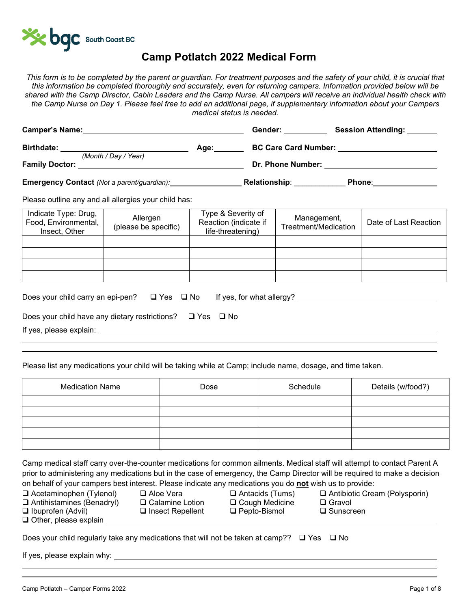

## **Camp Potlatch 2022 Medical Form**

*This form is to be completed by the parent or guardian. For treatment purposes and the safety of your child, it is crucial that this information be completed thoroughly and accurately, even for returning campers. Information provided below will be shared with the Camp Director, Cabin Leaders and the Camp Nurse. All campers will receive an individual health check with the Camp Nurse on Day 1. Please feel free to add an additional page, if supplementary information about your Campers medical status is needed.* 

| <b>Camper's Name:</b>                         |      | Gender:                     | <b>Session Attending:</b> |
|-----------------------------------------------|------|-----------------------------|---------------------------|
| <b>Birthdate:</b>                             | Age: | <b>BC Care Card Number:</b> |                           |
| (Month / Day / Year)<br><b>Family Doctor:</b> |      | Dr. Phone Number:           |                           |
| Emergency Contact (Not a parent/guardian):    |      | <b>Relationship:</b>        | Phone:                    |

Please outline any and all allergies your child has:

| Indicate Type: Drug,<br>Food, Environmental,<br>Insect, Other | Allergen<br>(please be specific) | Type & Severity of<br>Reaction (indicate if<br>life-threatening) | Management,<br>Treatment/Medication | Date of Last Reaction |
|---------------------------------------------------------------|----------------------------------|------------------------------------------------------------------|-------------------------------------|-----------------------|
|                                                               |                                  |                                                                  |                                     |                       |
|                                                               |                                  |                                                                  |                                     |                       |
|                                                               |                                  |                                                                  |                                     |                       |
|                                                               |                                  |                                                                  |                                     |                       |

| Does your child carry an epi-pen? $\Box$ Yes $\Box$ No              |  | If yes, for what allergy? |  |
|---------------------------------------------------------------------|--|---------------------------|--|
|                                                                     |  |                           |  |
| Does your child have any dietary restrictions? $\Box$ Yes $\Box$ No |  |                           |  |
| If yes, please explain:                                             |  |                           |  |

 $\overline{a}$ 

Please list any medications your child will be taking while at Camp; include name, dosage, and time taken.

| <b>Medication Name</b> | Dose | Schedule | Details (w/food?) |
|------------------------|------|----------|-------------------|
|                        |      |          |                   |
|                        |      |          |                   |
|                        |      |          |                   |
|                        |      |          |                   |
|                        |      |          |                   |

Camp medical staff carry over-the-counter medications for common ailments. Medical staff will attempt to contact Parent A prior to administering any medications but in the case of emergency, the Camp Director will be required to make a decision on behalf of your campers best interest. Please indicate any medications you do **not** wish us to provide:

| $\Box$ Acetaminophen (Tylenol)   | $\Box$ Aloe |
|----------------------------------|-------------|
| $\Box$ Antihietamines (Renadrul) | $\Box$ Cak  |

Other, please explain

- 
- 
- Antihistamines (Benadryl) Calamine Lotion Cough Medicine Gravol Ibuprofen (Advil) Insect Repellent Pepto-Bismol Sunscreen
- e Vera **Q** Antacids (Tums) Q Antibiotic Cream (Polysporin)

|  | Does your child regularly take any medications that will not be taken at camp??   ❑ Yes    ❑ No |  |  |  |
|--|-------------------------------------------------------------------------------------------------|--|--|--|
|  |                                                                                                 |  |  |  |
|  |                                                                                                 |  |  |  |

If yes, please explain why: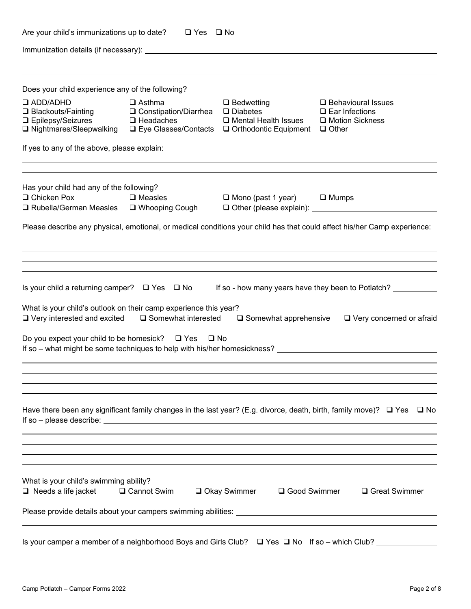| Are your child's immunizations up to date? $\Box$ Yes $\Box$ No                                                                           |                                                                                   |                                                                                                    |                                                                                                                                     |
|-------------------------------------------------------------------------------------------------------------------------------------------|-----------------------------------------------------------------------------------|----------------------------------------------------------------------------------------------------|-------------------------------------------------------------------------------------------------------------------------------------|
|                                                                                                                                           |                                                                                   |                                                                                                    |                                                                                                                                     |
|                                                                                                                                           |                                                                                   |                                                                                                    |                                                                                                                                     |
| Does your child experience any of the following?                                                                                          |                                                                                   |                                                                                                    |                                                                                                                                     |
| <b>Q ADD/ADHD</b><br>$\Box$ Blackouts/Fainting<br>□ Epilepsy/Seizures<br><b>□ Nightmares/Sleepwalking</b>                                 | $\Box$ Asthma<br>$\Box$ Constipation/Diarrhea $\Box$ Diabetes<br>$\Box$ Headaches | $\Box$ Bedwetting<br>$\Box$ Mental Health Issues<br>□ Eye Glasses/Contacts □ Orthodontic Equipment | $\Box$ Behavioural Issues<br>$\square$ Ear Infections<br>□ Motion Sickness<br>$\Box$ Other $\_\_\_\_\_\_\_\_\_\_\_\_\_\_\_\_\_\_\_$ |
|                                                                                                                                           |                                                                                   |                                                                                                    |                                                                                                                                     |
| Has your child had any of the following?                                                                                                  |                                                                                   |                                                                                                    |                                                                                                                                     |
| $\Box$ Chicken Pox<br>□ Rubella/German Measles □ Whooping Cough                                                                           | $\square$ Measles                                                                 | $\Box$ Mono (past 1 year) $\Box$ Mumps                                                             |                                                                                                                                     |
|                                                                                                                                           |                                                                                   |                                                                                                    | Please describe any physical, emotional, or medical conditions your child has that could affect his/her Camp experience:            |
|                                                                                                                                           |                                                                                   |                                                                                                    |                                                                                                                                     |
|                                                                                                                                           |                                                                                   |                                                                                                    |                                                                                                                                     |
| Is your child a returning camper? □ Yes □ No                                                                                              |                                                                                   |                                                                                                    | If so - how many years have they been to Potlatch?                                                                                  |
| What is your child's outlook on their camp experience this year?<br>$\Box$ Very interested and excited                                    | □ Somewhat interested                                                             | $\square$ Somewhat apprehensive                                                                    | $\Box$ Very concerned or afraid                                                                                                     |
| Do you expect your child to be homesick? $\Box$ Yes $\Box$ No<br>If so – what might be some techniques to help with his/her homesickness? |                                                                                   |                                                                                                    |                                                                                                                                     |
|                                                                                                                                           |                                                                                   |                                                                                                    |                                                                                                                                     |
|                                                                                                                                           |                                                                                   |                                                                                                    |                                                                                                                                     |
| Have there been any significant family changes in the last year? (E.g. divorce, death, birth, family move)? $\Box$ Yes                    |                                                                                   |                                                                                                    | □ No                                                                                                                                |
|                                                                                                                                           |                                                                                   |                                                                                                    |                                                                                                                                     |
|                                                                                                                                           |                                                                                   |                                                                                                    |                                                                                                                                     |
| What is your child's swimming ability?<br>$\Box$ Needs a life jacket                                                                      | <b>□ Cannot Swim</b>                                                              | <b>□ Okay Swimmer</b><br>□ Good Swimmer                                                            | □ Great Swimmer                                                                                                                     |
|                                                                                                                                           |                                                                                   |                                                                                                    |                                                                                                                                     |
| Is your camper a member of a neighborhood Boys and Girls Club? □ Yes □ No If so – which Club?                                             |                                                                                   |                                                                                                    |                                                                                                                                     |
|                                                                                                                                           |                                                                                   |                                                                                                    |                                                                                                                                     |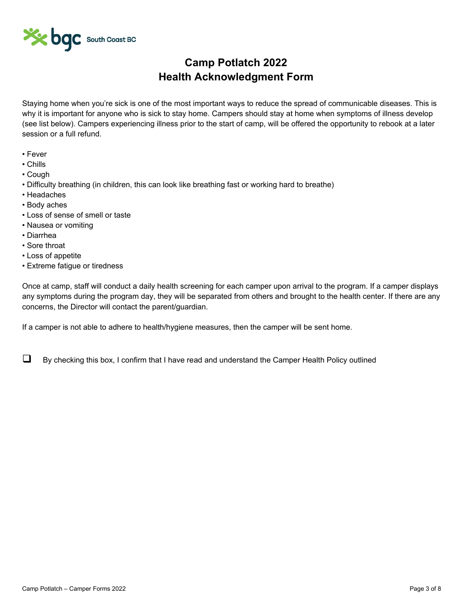

## **Camp Potlatch 2022 Health Acknowledgment Form**

Staying home when you're sick is one of the most important ways to reduce the spread of communicable diseases. This is why it is important for anyone who is sick to stay home. Campers should stay at home when symptoms of illness develop (see list below). Campers experiencing illness prior to the start of camp, will be offered the opportunity to rebook at a later session or a full refund.

- Fever
- Chills
- Cough
- Difficulty breathing (in children, this can look like breathing fast or working hard to breathe)
- Headaches
- Body aches
- Loss of sense of smell or taste
- Nausea or vomiting
- Diarrhea
- Sore throat
- Loss of appetite
- Extreme fatigue or tiredness

Once at camp, staff will conduct a daily health screening for each camper upon arrival to the program. If a camper displays any symptoms during the program day, they will be separated from others and brought to the health center. If there are any concerns, the Director will contact the parent/guardian.

If a camper is not able to adhere to health/hygiene measures, then the camper will be sent home.

 $\Box$  By checking this box, I confirm that I have read and understand the Camper Health Policy outlined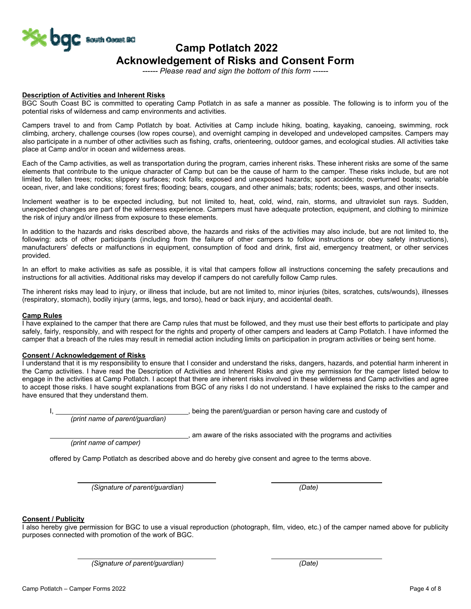

# **Acknowledgement of Risks and Consent Form**

*------ Please read and sign the bottom of this form ------*

### **Description of Activities and Inherent Risks**

BGC South Coast BC is committed to operating Camp Potlatch in as safe a manner as possible. The following is to inform you of the potential risks of wilderness and camp environments and activities.

Campers travel to and from Camp Potlatch by boat. Activities at Camp include hiking, boating, kayaking, canoeing, swimming, rock climbing, archery, challenge courses (low ropes course), and overnight camping in developed and undeveloped campsites. Campers may also participate in a number of other activities such as fishing, crafts, orienteering, outdoor games, and ecological studies. All activities take place at Camp and/or in ocean and wilderness areas.

Each of the Camp activities, as well as transportation during the program, carries inherent risks. These inherent risks are some of the same elements that contribute to the unique character of Camp but can be the cause of harm to the camper. These risks include, but are not limited to, fallen trees; rocks; slippery surfaces; rock falls; exposed and unexposed hazards; sport accidents; overturned boats; variable ocean, river, and lake conditions; forest fires; flooding; bears, cougars, and other animals; bats; rodents; bees, wasps, and other insects.

Inclement weather is to be expected including, but not limited to, heat, cold, wind, rain, storms, and ultraviolet sun rays. Sudden, unexpected changes are part of the wilderness experience. Campers must have adequate protection, equipment, and clothing to minimize the risk of injury and/or illness from exposure to these elements.

In addition to the hazards and risks described above, the hazards and risks of the activities may also include, but are not limited to, the following: acts of other participants (including from the failure of other campers to follow instructions or obey safety instructions), manufacturers' defects or malfunctions in equipment, consumption of food and drink, first aid, emergency treatment, or other services provided.

In an effort to make activities as safe as possible, it is vital that campers follow all instructions concerning the safety precautions and instructions for all activities. Additional risks may develop if campers do not carefully follow Camp rules.

The inherent risks may lead to injury, or illness that include, but are not limited to, minor injuries (bites, scratches, cuts/wounds), illnesses (respiratory, stomach), bodily injury (arms, legs, and torso), head or back injury, and accidental death.

### **Camp Rules**

I have explained to the camper that there are Camp rules that must be followed, and they must use their best efforts to participate and play safely, fairly, responsibly, and with respect for the rights and property of other campers and leaders at Camp Potlatch. I have informed the camper that a breach of the rules may result in remedial action including limits on participation in program activities or being sent home.

### **Consent / Acknowledgement of Risks**

I understand that it is my responsibility to ensure that I consider and understand the risks, dangers, hazards, and potential harm inherent in the Camp activities. I have read the Description of Activities and Inherent Risks and give my permission for the camper listed below to engage in the activities at Camp Potlatch. I accept that there are inherent risks involved in these wilderness and Camp activities and agree to accept those risks. I have sought explanations from BGC of any risks I do not understand. I have explained the risks to the camper and have ensured that they understand them.

, being the parent/guardian or person having care and custody of

*(print name of parent/guardian)* 

..., am aware of the risks associated with the programs and activities

*(print name of camper)* 

offered by Camp Potlatch as described above and do hereby give consent and agree to the terms above.

*(Signature of parent/guardian) (Date)* 

### **Consent / Publicity**

I also hereby give permission for BGC to use a visual reproduction (photograph, film, video, etc.) of the camper named above for publicity purposes connected with promotion of the work of BGC.

*(Signature of parent/guardian) (Date)*

 $\overline{a}$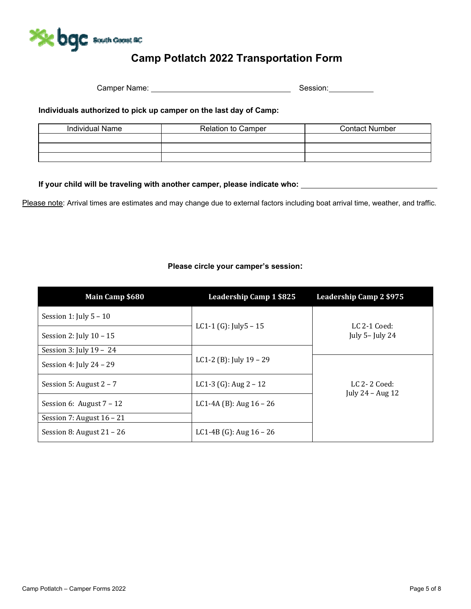

## **Camp Potlatch 2022 Transportation Form**

Camper Name: Session:

## **Individuals authorized to pick up camper on the last day of Camp:**

| Individual Name | <b>Relation to Camper</b> | <b>Contact Number</b> |
|-----------------|---------------------------|-----------------------|
|                 |                           |                       |
|                 |                           |                       |
|                 |                           |                       |

**If your child will be traveling with another camper, please indicate who:** 

Please note: Arrival times are estimates and may change due to external factors including boat arrival time, weather, and traffic.

| Main Camp \$680             | <b>Leadership Camp 1 \$825</b> | <b>Leadership Camp 2 \$975</b>       |
|-----------------------------|--------------------------------|--------------------------------------|
| Session 1: July $5 - 10$    |                                |                                      |
| Session 2: July $10 - 15$   | LC1-1 (G): July5 $-15$         | LC $2-1$ Coed:<br>July 5- July 24    |
| Session 3: July $19 - 24$   |                                |                                      |
| Session 4: July $24 - 29$   | LC1-2 (B): July $19 - 29$      |                                      |
| Session 5: August $2 - 7$   | LC1-3 (G): Aug $2 - 12$        | LC $2-2$ Coed:<br>July $24 - Aug 12$ |
| Session 6: August $7 - 12$  | LC1-4A (B): Aug $16 - 26$      |                                      |
| Session 7: August $16 - 21$ |                                |                                      |
| Session 8: August $21 - 26$ | LC1-4B (G): Aug $16 - 26$      |                                      |

## **Please circle your camper's session:**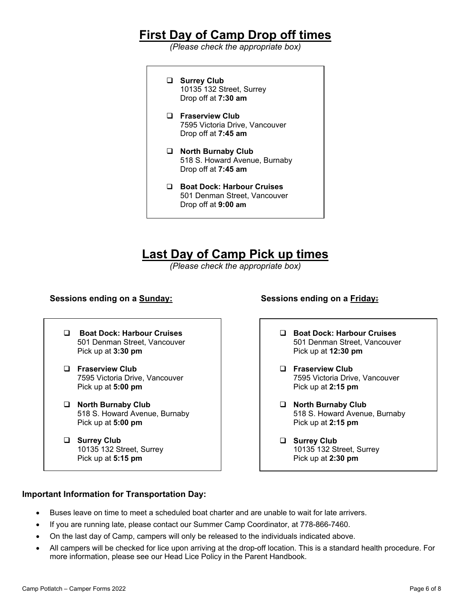## **First Day of Camp Drop off times**

*(Please check the appropriate box)* 

- **Surrey Club**  10135 132 Street, Surrey Drop off at **7:30 am**
- **Fraserview Club** 7595 Victoria Drive, Vancouver Drop off at **7:45 am**
- **North Burnaby Club** 518 S. Howard Avenue, Burnaby Drop off at **7:45 am**
- **Boat Dock: Harbour Cruises**  501 Denman Street, Vancouver Drop off at **9:00 am**

## **Last Day of Camp Pick up times**

*(Please check the appropriate box)* 

## **Sessions ending on a Sunday: Sessions ending on a Friday:**

- **Boat Dock: Harbour Cruises**  501 Denman Street, Vancouver Pick up at **3:30 pm**
- **Fraserview Club** 7595 Victoria Drive, Vancouver Pick up at **5:00 pm**
- **North Burnaby Club** 518 S. Howard Avenue, Burnaby Pick up at **5:00 pm**
- **Surrey Club** 10135 132 Street, Surrey Pick up at **5:15 pm**
- **Boat Dock: Harbour Cruises**  501 Denman Street, Vancouver Pick up at **12:30 pm**
- **Fraserview Club** 7595 Victoria Drive, Vancouver Pick up at **2:15 pm**
- **North Burnaby Club** 518 S. Howard Avenue, Burnaby Pick up at **2:15 pm**
- **Surrey Club** 10135 132 Street, Surrey Pick up at **2:30 pm**

## **Important Information for Transportation Day:**

- Buses leave on time to meet a scheduled boat charter and are unable to wait for late arrivers.
- If you are running late, please contact our Summer Camp Coordinator, at 778-866-7460.
- On the last day of Camp, campers will only be released to the individuals indicated above.
- All campers will be checked for lice upon arriving at the drop-off location. This is a standard health procedure. For more information, please see our Head Lice Policy in the Parent Handbook.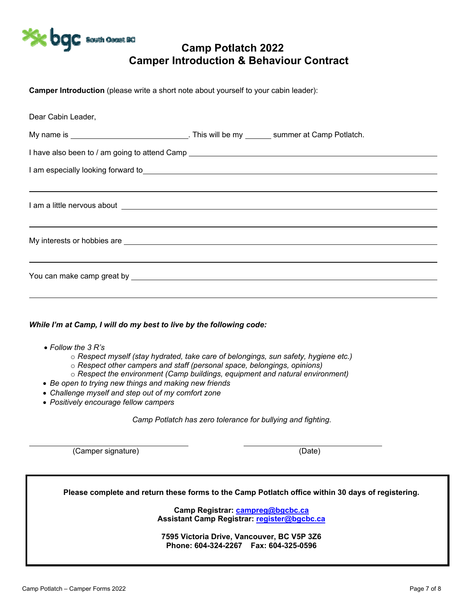

## **Camp Potlatch 2022 Camper Introduction & Behaviour Contract**

**Camper Introduction** (please write a short note about yourself to your cabin leader):

| Dear Cabin Leader,                                                                                                                                                                                                                   |                                                                                                                                                                                                                                       |
|--------------------------------------------------------------------------------------------------------------------------------------------------------------------------------------------------------------------------------------|---------------------------------------------------------------------------------------------------------------------------------------------------------------------------------------------------------------------------------------|
|                                                                                                                                                                                                                                      |                                                                                                                                                                                                                                       |
|                                                                                                                                                                                                                                      |                                                                                                                                                                                                                                       |
|                                                                                                                                                                                                                                      | I am especially looking forward to<br><u>Leader Andrew Communication</u> and the contract of the contract of the contract of the contract of the contract of the contract of the contract of the contract of the contract of the cont |
|                                                                                                                                                                                                                                      | ,我们也不会有什么?""我们的人,我们也不会不会不会不会。""我们的人,我们也不会不会不会不会不会不会不会。""我们的人,我们也不会不会不会不会不会不会不会不会                                                                                                                                                      |
| I am a little nervous about example and the set of the set of the set of the set of the set of the set of the set of the set of the set of the set of the set of the set of the set of the set of the set of the set of the se       |                                                                                                                                                                                                                                       |
|                                                                                                                                                                                                                                      | <u> 1988 - Ann an Dùbhlachd ann an Dùbhlachd ann an Dùbhlachd ann an Dùbhlachd ann an Dùbhlachd ann an Dùbhlachd </u>                                                                                                                 |
| My interests or hobbies are <b>example and the contract of the contract of the contract of the contract of the contract of the contract of the contract of the contract of the contract of the contract of the contract of the c</b> |                                                                                                                                                                                                                                       |
|                                                                                                                                                                                                                                      |                                                                                                                                                                                                                                       |
|                                                                                                                                                                                                                                      |                                                                                                                                                                                                                                       |
|                                                                                                                                                                                                                                      |                                                                                                                                                                                                                                       |
|                                                                                                                                                                                                                                      |                                                                                                                                                                                                                                       |
| $M/h$ ilo $I'm$ at Camp. Lucill do my bost to live by the following code:                                                                                                                                                            |                                                                                                                                                                                                                                       |

## *While I'm at Camp, I will do my best to live by the following code:*

- *Follow the 3 R's*
	- o *Respect myself (stay hydrated, take care of belongings, sun safety, hygiene etc.)*
	- o *Respect other campers and staff (personal space, belongings, opinions)*
	- o *Respect the environment (Camp buildings, equipment and natural environment)*
- *Be open to trying new things and making new friends*
- *Challenge myself and step out of my comfort zone*
- *Positively encourage fellow campers*

*Camp Potlatch has zero tolerance for bullying and fighting.* 

(Camper signature) (Date)